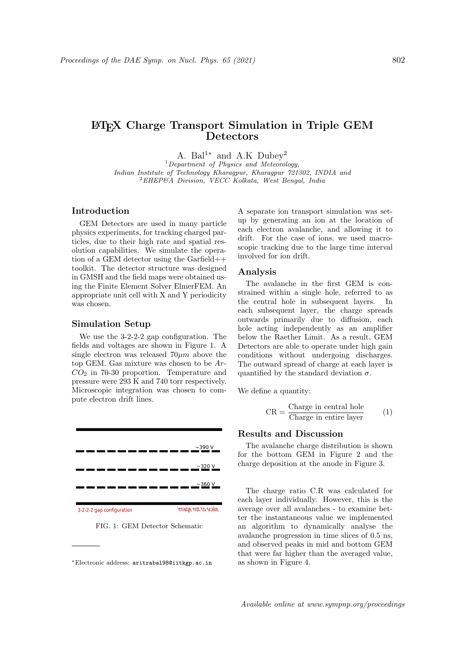# LATEX Charge Transport Simulation in Triple GEM **Detectors**

A. Bal<sup>1\*</sup> and A.K Dubey<sup>2</sup>

 $1$ Department of Physics and Meteorology, Indian Institute of Technology Kharagpur, Kharagpur 721302, INDIA and  ${}^{2}$ EHEP&A Division, VECC Kolkata, West Bengal, India

## Introduction

GEM Detectors are used in many particle physics experiments, for tracking charged particles, due to their high rate and spatial resolution capabilities. We simulate the operation of a GEM detector using the Garfield++ toolkit. The detector structure was designed in GMSH and the field maps were obtained using the Finite Element Solver ElmerFEM. An appropriate unit cell with X and Y periodicity was chosen.

#### Simulation Setup

We use the 3-2-2-2 gap configuration. The fields and voltages are shown in Figure 1. A single electron was released  $70 \mu m$  above the top GEM. Gas mixture was chosen to be Ar- $CO<sub>2</sub>$  in 70-30 proportion. Temperature and pressure were 293 K and 740 torr respectively. Microscopic integration was chosen to compute electron drift lines.



FIG. 1: GEM Detector Schematic

A separate ion transport simulation was setup by generating an ion at the location of each electron avalanche, and allowing it to drift. For the case of ions, we used macroscopic tracking due to the large time interval involved for ion drift.

#### Analysis

The avalanche in the first GEM is constrained within a single hole, referred to as the central hole in subsequent layers. In each subsequent layer, the charge spreads outwards primarily due to diffusion, each hole acting independently as an amplifier below the Raether Limit. As a result, GEM Detectors are able to operate under high gain conditions without undergoing discharges. The outward spread of charge at each layer is quantified by the standard deviation  $\sigma$ .

We define a quantity:

$$
CR = \frac{Change in central hole}{Change in entire layer} \qquad (1)
$$

### Results and Discussion

The avalanche charge distribution is shown for the bottom GEM in Figure 2 and the charge deposition at the anode in Figure 3.

The charge ratio C.R was calculated for each layer individually. However, this is the average over all avalanches - to examine better the instantaneous value we implemented an algorithm to dynamically analyse the avalanche progression in time slices of 0.5 ns, and observed peaks in mid and bottom GEM that were far higher than the averaged value, as shown in Figure 4.

<sup>∗</sup>Electronic address: aritrabal98@iitkgp.ac.in